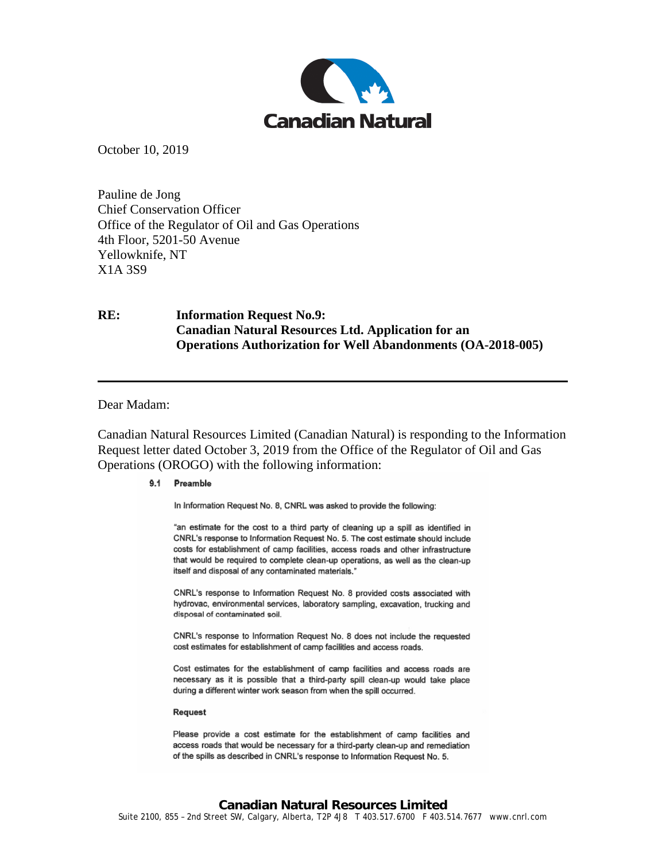

October 10, 2019

Pauline de Jong Chief Conservation Officer Office of the Regulator of Oil and Gas Operations 4th Floor, 5201-50 Avenue Yellowknife, NT X1A 3S9

## **RE: Information Request No.9: Canadian Natural Resources Ltd. Application for an Operations Authorization for Well Abandonments (OA-2018-005)**

## Dear Madam:

Canadian Natural Resources Limited (Canadian Natural) is responding to the Information Request letter dated October 3, 2019 from the Office of the Regulator of Oil and Gas Operations (OROGO) with the following information:

## 9.1 Preamble

In Information Request No. 8, CNRL was asked to provide the following:

"an estimate for the cost to a third party of cleaning up a spill as identified in CNRL's response to Information Request No. 5. The cost estimate should include costs for establishment of camp facilities, access roads and other infrastructure that would be required to complete clean-up operations, as well as the clean-up itself and disposal of any contaminated materials."

CNRL's response to Information Request No. 8 provided costs associated with hydrovac, environmental services, laboratory sampling, excavation, trucking and disposal of contaminated soil.

CNRL's response to Information Request No. 8 does not include the requested cost estimates for establishment of camp facilities and access roads.

Cost estimates for the establishment of camp facilities and access roads are necessary as it is possible that a third-party spill clean-up would take place during a different winter work season from when the spill occurred.

## Request

Please provide a cost estimate for the establishment of camp facilities and access roads that would be necessary for a third-party clean-up and remediation of the spills as described in CNRL's response to Information Request No. 5.